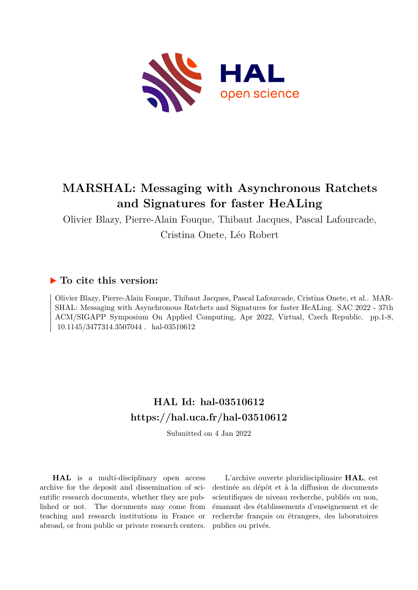

# **MARSHAL: Messaging with Asynchronous Ratchets and Signatures for faster HeALing**

Olivier Blazy, Pierre-Alain Fouque, Thibaut Jacques, Pascal Lafourcade, Cristina Onete, Léo Robert

## **To cite this version:**

Olivier Blazy, Pierre-Alain Fouque, Thibaut Jacques, Pascal Lafourcade, Cristina Onete, et al.. MAR-SHAL: Messaging with Asynchronous Ratchets and Signatures for faster HeALing. SAC 2022 - 37th ACM/SIGAPP Symposium On Applied Computing, Apr 2022, Virtual, Czech Republic. pp.1-8, 10.1145/3477314.3507044 hal-03510612

## **HAL Id: hal-03510612 <https://hal.uca.fr/hal-03510612>**

Submitted on 4 Jan 2022

**HAL** is a multi-disciplinary open access archive for the deposit and dissemination of scientific research documents, whether they are published or not. The documents may come from teaching and research institutions in France or abroad, or from public or private research centers.

L'archive ouverte pluridisciplinaire **HAL**, est destinée au dépôt et à la diffusion de documents scientifiques de niveau recherche, publiés ou non, émanant des établissements d'enseignement et de recherche français ou étrangers, des laboratoires publics ou privés.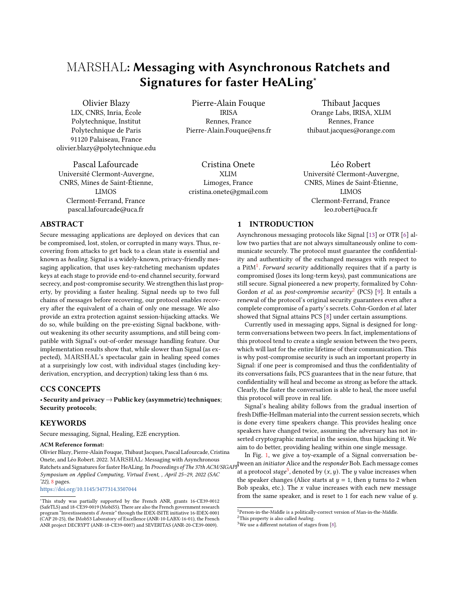## MARSHAL**: Messaging with Asynchronous Ratchets and Signatures for faster HeALing<sup>∗</sup>**

Olivier Blazy LIX, CNRS, Inria, École Polytechnique, Institut Polytechnique de Paris 91120 Palaiseau, France olivier.blazy@polytechnique.edu

Pascal Lafourcade Université Clermont-Auvergne, CNRS, Mines de Saint-Étienne, LIMOS Clermont-Ferrand, France pascal.lafourcade@uca.fr

Pierre-Alain Fouque IRISA Rennes, France Pierre-Alain.Fouque@ens.fr

Cristina Onete XLIM Limoges, France cristina.onete@gmail.com

Thibaut Jacques Orange Labs, IRISA, XLIM Rennes, France thibaut.jacques@orange.com

Léo Robert Université Clermont-Auvergne, CNRS, Mines de Saint-Étienne, LIMOS Clermont-Ferrand, France leo.robert@uca.fr

#### **ABSTRACT**

Secure messaging applications are deployed on devices that can be compromised, lost, stolen, or corrupted in many ways. Thus, recovering from attacks to get back to a clean state is essential and known as *healing*. Signal is a widely-known, privacy-friendly messaging application, that uses key-ratcheting mechanism updates keys at each stage to provide end-to-end channel security, forward secrecy, and post-compromise security. We strengthen this last property, by providing a faster healing. Signal needs up to two full chains of messages before recovering, our protocol enables recovery after the equivalent of a chain of only one message. We also provide an extra protection against session-hijacking attacks. We do so, while building on the pre-existing Signal backbone, without weakening its other security assumptions, and still being compatible with Signal's out-of-order message handling feature. Our implementation results show that, while slower than Signal (as expected), MARSHAL's spectacular gain in healing speed comes at a surprisingly low cost, with individual stages (including keyderivation, encryption, and decryption) taking less than 6 ms.

### **CCS CONCEPTS**

• **Security and privacy**→**Public key (asymmetric) techniques**; **Security protocols**;

#### **KEYWORDS**

Secure messaging, Signal, Healing, E2E encryption.

#### **ACM Reference format:**

Olivier Blazy, Pierre-Alain Fouque, Thibaut Jacques, Pascal Lafourcade, Cristina Onete, and Léo Robert. 2022. MARSHAL: Messaging with Asynchronous Ratchets and Signatures for faster HeALing. In *Proceedings of The 37th ACM/SIGAPP* tween an *initiator* Alice and the *responder* Bob. Each message comes *Symposium on Applied Computing, Virtual Event, , April 25–29, 2022 (SAC '22),* 8 pages.

<https://doi.org/10.1145/3477314.3507044>

### **1 INTRODUCTION**

Asynchronous messaging protocols like Signal [13] or OTR [6] allow two parties that are not always simultaneously online to communicate securely. The protocol must guarantee the confidentiality and authenticity of the exchanged messages with respect to a PitM1 . *Forward security* additionally requires that if a party is compromised (loses its long-term keys), past communications are still secure. Signal pioneered a new property, formalized by Cohn-Gordon *et al.* as *post-compromise security*2 (PCS) [9]. It entails a renewal of the protocol's original security guarantees even after a complete compromise of a party's secrets. Cohn-Gordon *et al.* later showed that Signal attains PCS [8] under certain assumptions.

Currently used in messaging apps, Signal is designed for longterm conversations between two peers. In fact, implementations of this protocol tend to create a single session between the two peers, which will last for the entire lifetime of their communication. This is why post-compromise security is such an important property in Signal: if one peer is compromised and thus the confidentiality of its conversations fails, PCS guarantees that in the near future, that confidentiality will heal and become as strong as before the attack. Clearly, the faster the conversation is able to heal, the more useful this protocol will prove in real life.

Signal's healing ability follows from the gradual insertion of fresh Diffie-Hellman material into the current session secrets, which is done every time speakers change. This provides healing once speakers have changed twice, assuming the adversary has not inserted cryptographic material in the session, thus hijacking it. We aim to do better, providing healing within one single message.

In Fig. 1, we give a toy-example of a Signal conversation beat a protocol *stage*<sup>3</sup>, denoted by  $(x, y)$ . The  $y$  value increases when the speaker changes (Alice starts at  $y = 1$ , then  $y$  turns to 2 when Bob speaks, etc.). The  $x$  value increases with each new message from the same speaker, and is reset to  $1$  for each new value of  $y$ .

<sup>∗</sup>This study was partially supported by the French ANR, grants 16-CE39-0012 (SafeTLS) and 18-CE39-0019 (MobiS5). There are also the French government research program "Investissements d´Avenir" through the IDEX-ISITE initiative 16-IDEX-0001 (CAP 20-25), the IMobS3 Laboratory of Excellence (ANR-10-LABX-16-01), the French ANR project DECRYPT (ANR-18-CE39-0007) and SEVERITAS (ANR-20-CE39-0009).

 ${}^{1}\mathrm{Person}\mbox{-}\mathrm{in}\mbox{-}\mathrm{the}\mbox{-}\mathrm{Middle}$  is a politically-correct version of Man-in-the-Middle.

<sup>2</sup>This property is also called *healing*.

<sup>&</sup>lt;sup>3</sup>We use a different notation of stages from [8].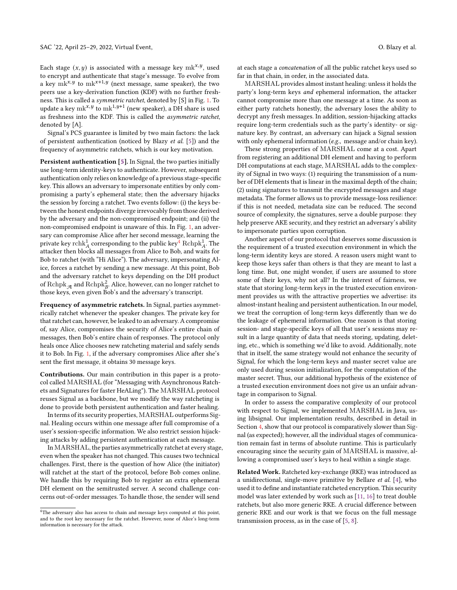Each stage  $(x, y)$  is associated with a message key mk<sup>x, y</sup>, used to encrypt and authenticate that stage's message. To evolve from a key  $mk^{x,y}$  to  $mk^{x+1,y}$  (next message, same speaker), the two peers use a key-derivation function (KDF) with no further freshness. This is called a *symmetric ratchet*, denoted by [S] in Fig. 1. To update a key mk<sup>x, y</sup> to mk<sup>1, y+1</sup> (new speaker), a DH share is used as freshness into the KDF. This is called the *asymmetric ratchet*, denoted by [A].

Signal's PCS guarantee is limited by two main factors: the lack of persistent authentication (noticed by Blazy *et al.* [5]) and the frequency of asymmetric ratchets, which is our key motivation.

**Persistent authentication [5].** In Signal, the two parties initially use long-term identity-keys to authenticate. However, subsequent authentication only relies on knowledge of a previous stage-specific key. This allows an adversary to impersonate entities by only compromising a party's ephemeral state; then the adversary hijacks the session by forcing a ratchet. Two events follow: (i) the keys between the honest endpoints diverge irrevocably from those derived by the adversary and the non-compromised endpoint; and (ii) the non-compromised endpoint is unaware of this. In Fig. 1, an adversary can compromise Alice after her second message, learning the private key  $\mathrm{rchk}_A^1$  corresponding to the public key $\frac{4}{\mathrm{Rchpk}_A^1}$ . The attacker then blocks all messages from Alice to Bob, and waits for Bob to ratchet (with "Hi Alice"). The adversary, impersonating Alice, forces a ratchet by sending a new message. At this point, Bob and the adversary ratchet to keys depending on the DH product of  $\mathrm{Rchpk}_{\mathcal{A}}$  and  $\mathrm{Rchpk}_B^2$ . Alice, however, can no longer ratchet to those keys, even given Bob's and the adversary's transcript.

**Frequency of asymmetric ratchets.** In Signal, parties asymmetrically ratchet whenever the speaker changes. The private key for that ratchet can, however, be leaked to an adversary. A compromise of, say Alice, compromises the security of Alice's entire chain of messages, then Bob's entire chain of responses. The protocol only heals once Alice chooses new ratcheting material and safely sends it to Bob. In Fig. 1, if the adversary compromises Alice after she's sent the first message, it obtains 30 message keys.

**Contributions.** Our main contribution in this paper is a protocol called MARSHAL (for "Messaging with Asynchronous Ratchets and Signatures for faster HeALing"). The MARSHAL protocol reuses Signal as a backbone, but we modify the way ratcheting is done to provide both persistent authentication and faster healing.

In terms of its security properties, MARSHAL outperforms Signal. Healing occurs within one message after full compromise of a user's session-specific information. We also restrict session hijacking attacks by adding persistent authentication at each message.

In MARSHAL, the parties asymmetrically ratchet at every stage, even when the speaker has not changed. This causes two technical challenges. First, there is the question of how Alice (the initiator) will ratchet at the start of the protocol, before Bob comes online. We handle this by requiring Bob to register an extra ephemeral DH element on the semitrusted server. A second challenge concerns out-of-order messages. To handle those, the sender will send

at each stage a *concatenation* of all the public ratchet keys used so far in that chain, in order, in the associated data.

MARSHAL provides almost instant healing: unless it holds the party's long-term keys *and* ephemeral information, the attacker cannot compromise more than one message at a time. As soon as either party ratchets honestly, the adversary loses the ability to decrypt any fresh messages. In addition, session-hijacking attacks require long-term credentials such as the party's identity- or signature key. By contrast, an adversary can hijack a Signal session with only ephemeral information (*e.g.*, message and/or chain key).

These strong properties of MARSHAL come at a cost. Apart from registering an additional DH element and having to perform DH computations at each stage, MARSHAL adds to the complexity of Signal in two ways: (1) requiring the transmission of a number of DH elements that is linear in the maximal depth of the chain; (2) using signatures to transmit the encrypted messages and stage metadata. The former allows us to provide message-loss resilience: if this is not needed, metadata size can be reduced. The second source of complexity, the signatures, serve a double purpose: they help preserve AKE security, and they restrict an adversary's ability to impersonate parties upon corruption.

Another aspect of our protocol that deserves some discussion is the requirement of a trusted execution environment in which the long-term identity keys are stored. A reason users might want to keep those keys safer than others is that they are meant to last a long time. But, one might wonder, if users are assumed to store some of their keys, why not all? In the interest of fairness, we state that storing long-term keys in the trusted execution environment provides us with the attractive properties we advertise: its almost-instant healing and persistent authentication. In our model, we treat the corruption of long-term keys differently than we do the leakage of ephemeral information. One reason is that storing session- and stage-specific keys of all that user's sessions may result in a large quantity of data that needs storing, updating, deleting, etc., which is something we'd like to avoid. Additionally, note that in itself, the same strategy would not enhance the security of Signal, for which the long-term keys and master secret value are only used during session initialization, for the computation of the master secret. Thus, our additional hypothesis of the existence of a trusted execution environment does not give us an unfair advantage in comparison to Signal.

In order to assess the comparative complexity of our protocol with respect to Signal, we implemented MARSHAL in Java, using libsignal. Our implementation results, described in detail in Section 4, show that our protocol is comparatively slower than Signal (as expected); however, all the individual stages of communication remain fast in terms of absolute runtime. This is particularly encouraging since the security gain of MARSHAL is massive, allowing a compromised user's keys to heal within a single stage.

**Related Work.** Ratcheted key-exchange (RKE) was introduced as a unidirectional, single-move primitive by Bellare *et al.* [4], who used it to define and instantiate ratcheted encryption. This security model was later extended by work such as [11, 16] to treat double ratchets, but also more generic RKE. A crucial difference between generic RKE and our work is that we focus on the full message transmission process, as in the case of [5, 8].

<sup>&</sup>lt;sup>4</sup>The adversary also has access to chain and message keys computed at this point, and to the root key necessary for the ratchet. However, none of Alice's long-term information is necessary for the attack.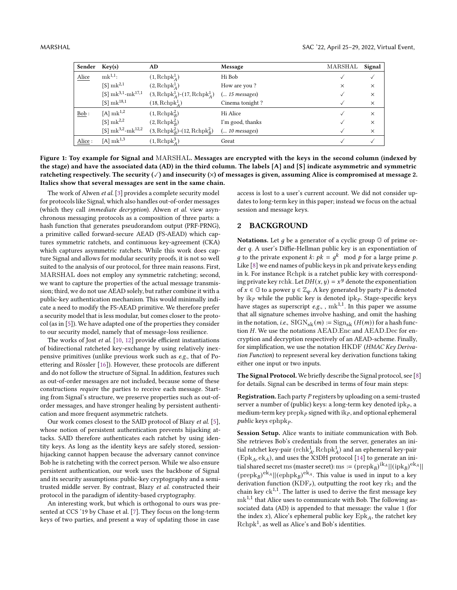| Sender                     | Key(s)                                      | AD                                                         | Message          | MARSHAL  | Signal   |
|----------------------------|---------------------------------------------|------------------------------------------------------------|------------------|----------|----------|
| $\underline{\text{Alice}}$ | $mk^{1,1}$ :                                | $(1, \text{Rchpk}_4^1)$                                    | Hi Bob           |          |          |
|                            | $[S]$ mk <sup>2,1</sup>                     | $(2, \text{Rchpk}_4^1)$                                    | How are you?     | $\times$ | $\times$ |
|                            | $[S]$ mk <sup>3,1</sup> -mk <sup>17,1</sup> | $(3, \text{Rchpk}_{A}^{1})$ - $(17, \text{Rchpk}_{A}^{1})$ | $( 15$ messages) |          | $\times$ |
|                            | $[S]$ mk <sup>18,1</sup>                    | $(18, \mathrm{Rchpk}_A^1)$                                 | Cinema tonight?  |          | $\times$ |
| $\underline{\text{Bob}}$ : | $[A]$ mk <sup>1,2</sup>                     | $(1, \text{Rchpk}_B^2)$                                    | Hi Alice         |          | $\times$ |
|                            | $[S]$ mk <sup>2,2</sup>                     | $(2, \text{Rchpk}_B^2)$                                    | I'm good, thanks |          | $\times$ |
|                            | [S] $mk^{3,2}-mk^{12,2}$                    | $(3, \text{Rchpk}_B^2)$ - $(12, \text{Rchpk}_B^2)$         | $( 10$ messages) |          | $\times$ |
| Alice:                     | [A] $\rm mk^{1,3}$                          | $(1, \text{Rchpk}_A^3)$                                    | Great            |          |          |

**Figure 1: Toy example for Signal and** MARSHAL**. Messages are encrypted with the keys in the second column (indexed by the stage) and have the associated data (AD) in the third column. The labels [A] and [S] indicate asymmetric and symmetric ratcheting respectively. The security (**✓**) and insecurity (**×**) of messages is given, assuming Alice is compromised at message 2. Italics show that several messages are sent in the same chain.**

The work of Alwen *et al.* [3] provides a complete security model for protocols like Signal, which also handles out-of-order messages (which they call *immediate decryption*). Alwen *et al.* view asynchronous messaging protocols as a composition of three parts: a hash function that generates pseudorandom output (PRF-PRNG), a primitive called forward-secure AEAD (FS-AEAD) which captures symmetric ratchets, and continuous key-agreement (CKA) which captures asymmetric ratchets. While this work does capture Signal and allows for modular security proofs, it is not so well suited to the analysis of our protocol, for three main reasons. First, MARSHAL does not employ any symmetric ratcheting; second, we want to capture the properties of the actual message transmission; third, we do not use AEAD solely, but rather combine it with a public-key authentication mechanism. This would minimally indicate a need to modify the FS-AEAD primitive. We therefore prefer a security model that is less modular, but comes closer to the protocol (as in [5]). We have adapted one of the properties they consider to our security model, namely that of message-loss resilience.

The works of Jost *et al.* [10, 12] provide efficient instantiations of bidirectional ratcheted key-exchange by using relatively inexpensive primitives (unlike previous work such as *e.g.*, that of Poettering and Rössler [16]). However, these protocols are different and do not follow the structure of Signal. In addition, features such as out-of-order messages are not included, because some of these constructions *require* the parties to receive each message. Starting from Signal's structure, we preserve properties such as out-oforder messages, and have stronger healing by persistent authentication and more frequent asymmetric ratchets.

Our work comes closest to the SAID protocol of Blazy *et al.* [5], whose notion of persistent authentication prevents hijacking attacks. SAID therefore authenticates each ratchet by using identity keys. As long as the identity keys are safely stored, sessionhijacking cannot happen because the adversary cannot convince Bob he is ratcheting with the correct person. While we also ensure persistent authentication, our work uses the backbone of Signal and its security assumptions: public-key cryptography and a semitrusted middle server. By contrast, Blazy *et al.* constructed their protocol in the paradigm of identity-based cryptography.

An interesting work, but which is orthogonal to ours was presented at CCS '19 by Chase et al. [7]. They focus on the long-term keys of two parties, and present a way of updating those in case

access is lost to a user's current account. We did not consider updates to long-term key in this paper; instead we focus on the actual session and message keys.

### **2 BACKGROUND**

**Notations.** Let  $q$  be a generator of a cyclic group  $\mathbb{G}$  of prime order  $q$ . A user's Diffie-Hellman public key is an exponentiation of g to the private exponent k:  $pk = g^k \mod p$  for a large prime p. Like [8] we end names of public keys in pk and private keys ending in k. For instance Rchpk is a ratchet public key with corresponding private key rchk. Let  $DH(x, y) = x^y$  denote the exponentiation of  $x \in \mathbb{G}$  to a power  $y \in \mathbb{Z}_q$ . A key generated by party *P* is denoted by ik*<sup>P</sup>* while the public key is denoted ipk*<sup>P</sup>* . Stage-specific keys have stages as superscript *e.g.*, ,  $mk^{1,1}$ . In this paper we assume that all signature schemes involve hashing, and omit the hashing in the notation, *i.e.*,  $\text{SIGN}_{\text{sk}}(m) := \text{Sign}_{\text{sk}}(H(m))$  for a hash function H. We use the notations AEAD.Enc and AEAD.Dec for encryption and decryption respectively of an AEAD-scheme. Finally, for simplification, we use the notation HKDF (*HMAC Key Derivation Function*) to represent several key derivation functions taking either one input or two inputs.

**The Signal Protocol.** We briefly describe the Signal protocol, see [8] for details. Signal can be described in terms of four main steps:

**Registration.** Each party *P* registers by uploading on a semi-trusted server a number of (public) keys: a long-term key denoted  $ipk<sub>P</sub>$ , a medium-term key $\mathrm{prepk}_P$  signed with  $\mathrm{i}\mathrm{k}_P$  , and optional ephemeral *public* keys ephpk*<sup>P</sup>* .

**Session Setup.** Alice wants to initiate communication with Bob. She retrieves Bob's credentials from the server, generates an initial ratchet key-pair  $(\text{rchk}_A^1, \text{Rchpk}_A^1)$  and an ephemeral key-pair (Epk*A,* ek*A*), and uses the X3DH protocol [14] to generate an initial shared secret ms (master secret): ms :=  $(\text{prepk}_B)^{ik_A} || (\text{ipk}_B)^{\text{ek}_A} ||$  $(\text{prepk}_B)^{\text{ek}_A} || (\text{ephpk}_B)^{\text{ek}_A}$ . This value is used in input to a key derivation function (KDF<sub>r</sub>), outputting the root key rk<sub>1</sub> and the chain key  $ck^{1,1}$ . The latter is used to derive the first message key mk1*,*<sup>1</sup> that Alice uses to communicate with Bob. The following associated data (AD) is appended to that message: the value 1 (for the index  $x$ ), Alice's ephemeral public key  $Epk<sub>A</sub>$ , the ratchet key  $\mathrm{Rchpk}^1$ , as well as Alice's and Bob's identities.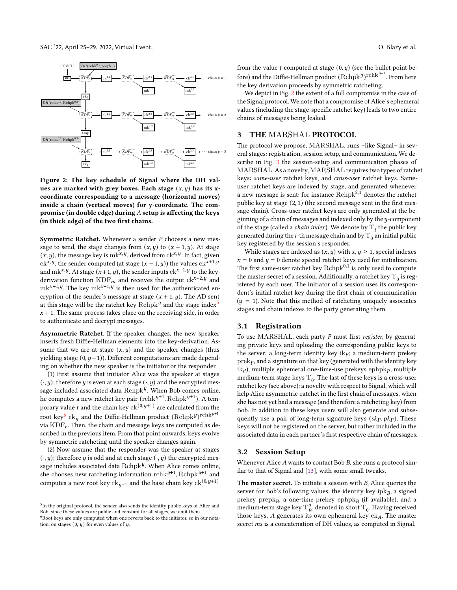

**Figure 2: The key schedule of Signal where the DH val**ues are marked with grey boxes. Each stage  $(x, y)$  has its x**coordinate corresponding to a message (horizontal moves) inside a chain (vertical moves) for y-coordinate. The compromise (in double edge) during** *A* **setup is affecting the keys (in thick edge) of the two first chains.**

**Symmetric Ratchet.** Whenever a sender *P* chooses a new message to send, the stage changes from  $(x, y)$  to  $(x + 1, y)$ . At stage  $(x, y)$ , the message key is mk<sup>x, y</sup>, derived from  $ck^{x, y}$ . In fact, given  $ck^{x,y}$ , the sender computed (at stage  $(x - 1, y)$ ) the values  $ck^{x+1,y}$ and mk<sup>*x*, *y*</sup>. At stage  $(x+1, y)$ , the sender inputs  $ck^{x+1, y}$  to the keyderivation function  $KDF_m$  and receives the output  $ck^{x+2,y}$  and  $mk^{x+1,y}$ . The key m $k^{x+1,y}$  is then used for the authenticated encryption of the sender's message at stage  $(x + 1, y)$ . The AD sent at this stage will be the ratchet key  $\mathrm{Rchpk}^y$  and the stage index $^5$  $x + 1$ . The same process takes place on the receiving side, in order to authenticate and decrypt messages.

**Asymmetric Ratchet.** If the speaker changes, the new speaker inserts fresh Diffie-Hellman elements into the key-derivation. Assume that we are at stage  $(x, y)$  and the speaker changes (thus yielding stage  $(0, y+1)$ ). Different computations are made depending on whether the new speaker is the initiator or the responder.

(1) First assume that initiator Alice was the speaker at stages  $(\cdot, y)$ ; therefore *y* is even at each stage  $(\cdot, y)$  and the encrypted message included associated data Rchpk<sup>y</sup>. When Bob comes online, he computes a new ratchet key pair  $(\text{rchk}^{y+1}, \text{Rchpk}^{y+1}).$  A temporary value  $t$  and the chain key  $\operatorname{ck}^{(0,y+1)}$  are calculated from the root key $^6$  rk $_y$  and the Diffie-Hellman product  $(\mathrm{Rchpk}^y)^{\mathrm{rchk}^{y+1}}$ via  $KDF_r$ . Then, the chain and message keys are computed as described in the previous item. From that point onwards, keys evolve by symmetric ratcheting until the speaker changes again.

(2) Now assume that the responder was the speaker at stages  $(v, y)$ ; therefore *y* is odd and at each stage  $(v, y)$  the encrypted message includes associated data Rchpk<sup>y</sup>. When Alice comes online, she chooses new ratcheting information  $\mathrm{rchk}^{y+1}$ ,  $\mathrm{Rchpk}^{y+1}$  and computes a new root key  $\text{rk}_{y+1}$  and the base chain key  $\text{ck}^{\left(0,y+1\right)}$ 

from the value  $t$  computed at stage  $(0, y)$  (see the bullet point before) and the Diffie-Hellman product  $(\mathrm{Rchpk}^y)^{\mathrm{rchk}^{y+1}}$ . From here the key derivation proceeds by symmetric ratcheting.

We depict in Fig. 2 the extent of a full compromise in the case of the Signal protocol. We note that a compromise of Alice's ephemeral values (including the stage-specific ratchet key) leads to two entire chains of messages being leaked.

### **3 THE** MARSHAL **PROTOCOL**

The protocol we propose, MARSHAL, runs –like Signal– in several stages: registration, session setup, and communication. We describe in Fig. 3 the session-setup and communication phases of MARSHAL. As a novelty, MARSHAL requires two types of ratchet keys: *same-user* ratchet keys, and *cross-user* ratchet keys. Sameuser ratchet keys are indexed by stage, and generated whenever a new message is sent: for instance Rchpk2*,*<sup>1</sup> denotes the ratchet public key at stage (2*,* 1) (the second message sent in the first message chain). Cross-user ratchet keys are only generated at the beginning of a chain of messages and indexed only by the  $y$ -component of the stage (called a *chain index*). We denote by  $T_i$  the public key generated during the *i*-th message chain and by  $T_0$  an initial public key registered by the session's responder.

While stages are indexed as  $(x, y)$  with  $x, y \ge 1$ , special indexes  $x = 0$  and  $y = 0$  denote special ratchet keys used for initialization. The first same-user ratchet key  $\mathrm{Rchpk}^{0,1}$  is only used to compute the master secret of a session. Additionally, a ratchet key  $\mathrm{T}_0$  is registered by each user. The initiator of a session uses its correspondent's initial ratchet key during the first chain of communication  $(y = 1)$ . Note that this method of ratcheting uniquely associates stages and chain indexes to the party generating them.

#### **3.1 Registration**

To use MARSHAL, each party *P* must first *register*, by generating private keys and uploading the corresponding public keys to the server: a long-term identity key ik<sub>P</sub>; a medium-term prekey prek*<sup>P</sup>* , and a signature on that key (generated with the identity key ik<sub>*P*</sub>); multiple ephemeral one-time-use prekeys ephpk<sub>*P*</sub>; multiple medium-term stage keys  $\mathrm{T}_0.$  The last of these keys is a cross-user ratchet key (see above): a novelty with respect to Signal, which will help Alice asymmetric-ratchet in the first chain of messages, when she has not yet had a message (and therefore a ratcheting key) from Bob. In addition to these keys users will also generate and subsequently use a pair of long-term signature keys  $(k_P, pk_P)$ . These keys will not be registered on the server, but rather included in the associated data in each partner's first respective chain of messages.

#### **3.2 Session Setup**

Whenever Alice *A* wants to contact Bob *B*, she runs a protocol similar to that of Signal and [13], with some small tweaks.

**The master secret.** To initiate a session with *B*, Alice queries the server for Bob's following values: the identity key  $ipk_{B}$ , a signed  $\operatorname{prekey}$  prep $\operatorname{k}_B$ , a one-time prekey  $\operatorname{ephpk}_B$  (if available), and a medium-term stage key  $T^{\theta}_B$ , denoted in short  $T_0$ . Having received those keys, *A* generates its own ephemeral key ek*A*. The master secret *ms* is a concatenation of DH values, as computed in Signal.

<sup>&</sup>lt;sup>5</sup>In the original protocol, the sender also sends the identity public keys of Alice and Bob; since these values are public and constant for all stages, we omit them.

<sup>&</sup>lt;sup>6</sup>Root keys are only computed when one reverts back to the initiator, so in our notation, on stages  $(0, y)$  for even values of  $y$ .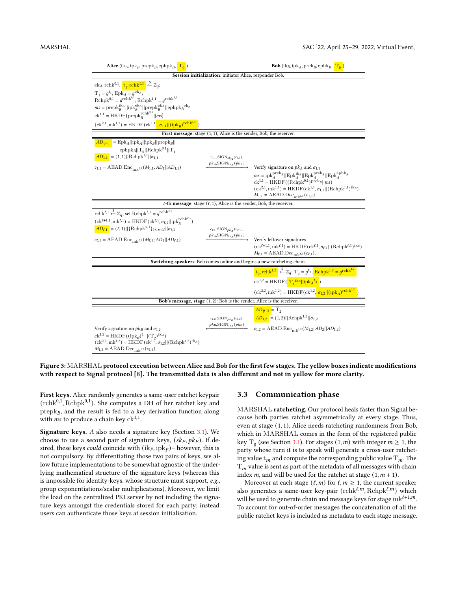| <b>Alice</b> (ik <sub>A</sub> , ipk <sub>B</sub> , prepk <sub>B</sub> , ephpk <sub>B</sub> , $\frac{\mathbf{T_0}}{\mathbf{I_0}}$ )                                                                                                                                                                                                                                                                                                                                                                                                                                                                                                          | <b>Bob</b> (ik <sub>B</sub> , ipk <sub>A</sub> , prek <sub>B</sub> , ephk <sub>B</sub> , $\boxed{\mathrm{T}_{0}}$ ) |                                                                                                                                                                                                                                                                                                                                                                                                                                                        |  |  |  |  |  |
|---------------------------------------------------------------------------------------------------------------------------------------------------------------------------------------------------------------------------------------------------------------------------------------------------------------------------------------------------------------------------------------------------------------------------------------------------------------------------------------------------------------------------------------------------------------------------------------------------------------------------------------------|---------------------------------------------------------------------------------------------------------------------|--------------------------------------------------------------------------------------------------------------------------------------------------------------------------------------------------------------------------------------------------------------------------------------------------------------------------------------------------------------------------------------------------------------------------------------------------------|--|--|--|--|--|
| Session initialization: initiator Alice, responder Bob.                                                                                                                                                                                                                                                                                                                                                                                                                                                                                                                                                                                     |                                                                                                                     |                                                                                                                                                                                                                                                                                                                                                                                                                                                        |  |  |  |  |  |
| $ek_A$ , rchk <sup>0,1</sup> , $\frac{t_1}{t_1}$ , rchk <sup>1,1</sup> $\xleftarrow{\$} \mathbb{Z}_q$ ;<br>$T_1 = g^{t_1}$ ; Epk <sub>A</sub> = $g^{ek_A}$ ;<br>$\text{Rchpk}^{0,1} = g^{\text{rchk}^{0,1}}; \text{Rchpk}^{1,1} = g^{\text{rchk}^{1,1}}$<br>$ms = \mathrm{prepk}_B^{\mathrm{i} \mathrm{k}_A}   \mathrm{ipk}_B^{\mathrm{ek}_A}  \mathrm{prepk}_B^{\mathrm{ek}_A}  \mathrm{ephpk}_B^{\mathrm{ek}_A}$<br>$\mathrm{ck}^{1,1}=\mathrm{HKDF}\left(\mathrm{prepk}_{B}^{\mathrm{rchk}^{0,1}}  ms\right)$<br>$(\text{ck}^{2,1}, \text{mk}^{1,1}) = \text{HKDF}(\text{ck}^{1,1}, \sigma_{1,1}    (\text{ipk}_B)^{\text{rchk}^{1,1}})$ |                                                                                                                     |                                                                                                                                                                                                                                                                                                                                                                                                                                                        |  |  |  |  |  |
|                                                                                                                                                                                                                                                                                                                                                                                                                                                                                                                                                                                                                                             | First message: stage $(1, 1)$ , Alice is the sender, Bob, the receiver.                                             |                                                                                                                                                                                                                                                                                                                                                                                                                                                        |  |  |  |  |  |
| $AD_{\nu=1}$ = Epk <sub>A</sub>   ipk <sub>A</sub>   ipk <sub>B</sub>   prepk <sub>B</sub>   <br>ephp $k_B  T_0  Rchpk^{0,1}  T_1$<br>$AD_{1,1} = (1,1)  Rchph^{1,1}  \sigma_{1,1}$<br>$c_{1,1} = \mathrm{AEAD}.\mathrm{Enc}_{\mathrm{mk}^{1,1}}(M_{1,1}; AD_1    AD_{1,1})$                                                                                                                                                                                                                                                                                                                                                                | $c_{1,1},\text{SIGN}_{sk_{\hat{A}}}(c_{1,1}),$<br>$pk_{A, \rm{SIGN}_{ik_{A}}(pk_{A})$                               | Verify signature on $pkA$ and $\sigma_{1,1}$<br>$ms = \mathrm{i} \mathrm{pk}^{\mathrm{prek}_B}_A   \mathrm{Epk}^{\mathrm{ik}_B}_A  \mathrm{Epk}^{\mathrm{prek}_B}_A  \mathrm{Epk}^{\mathrm{ephk}_B}_A$<br>$\mathrm{ck}^{1,1}=\mathrm{HKDF}((\mathrm{Rchpk}^{0,1})^{\mathrm{prek}_B}  ms)$<br>$(ck^{2,1}, mk^{1,1}) = HKDF(ck^{1,1}, \sigma_{1,1}    (Rchpk^{1,1})^{ik_B})$<br>$M_{1,1} = \operatorname{AEAD\_Dec}_{\operatorname{mk}^{1,1}}(c_{1,1}).$ |  |  |  |  |  |
|                                                                                                                                                                                                                                                                                                                                                                                                                                                                                                                                                                                                                                             | $\ell$ -th <b>message</b> : stage $(\ell, 1)$ , Alice is the sender, Bob, the receiver.                             |                                                                                                                                                                                                                                                                                                                                                                                                                                                        |  |  |  |  |  |
| rchk <sup><math>\ell</math>,1</sup> $\xleftarrow{\$} \mathbb{Z}_q$ , set Rchpk $\ell$ ,1 = $g^{\text{rchk}^{\ell,1}}$<br>$(\mathbf{c}\mathbf{k}^{\ell+1,1},\mathbf{m}\mathbf{k}^{\ell,1})=\mathrm{HKDF}(\mathbf{c}\mathbf{k}^{\ell,1},\sigma_{\ell,1}  \mathbf{i}\mathbf{p}\mathbf{k}_R^{\mathrm{rchk}^{\ell,1}})$<br>$AD_{\ell,1} = (\ell,1)  {\rm {Rehpk}^{x,1}}_{1\leq x\leq \ell}  \sigma_{\ell,1}$<br>$c_{\ell,1} = A E A D. Enc_{mk^{\ell,1}}(M_{\ell,1}; AD_1    AD_{\ell,1})$                                                                                                                                                       | $c_{\ell,1},\text{SIGN}_{pk_{A}}(c_{\ell,1}),$<br>$pk_{A, \rm{SIGN}_{ik_{A}}(pk_{A})$                               | Verify leftover signatures<br>$(\mathrm{ck}^{\ell+1,1}, \mathrm{mk}^{\ell,1}) = \mathrm{HKDF}(\mathrm{ck}^{\ell,1}, \sigma_{\ell,1}    (\mathrm{Rchpk}^{\ell,1})^{\mathrm{ik}_B})$<br>$M_{\ell,1} = \mathrm{AEAD}.\mathrm{Dec}_{\mathrm{mk}^{\ell,1}}(c_{\ell,1}).$                                                                                                                                                                                    |  |  |  |  |  |
| Switching speakers: Bob comes online and begins a new ratcheting chain.                                                                                                                                                                                                                                                                                                                                                                                                                                                                                                                                                                     |                                                                                                                     |                                                                                                                                                                                                                                                                                                                                                                                                                                                        |  |  |  |  |  |
|                                                                                                                                                                                                                                                                                                                                                                                                                                                                                                                                                                                                                                             |                                                                                                                     | $t_2$ , rchk <sup>1,2</sup> $\stackrel{\$}{\leftarrow} \mathbb{Z}_q$ ; T <sub>2</sub> = $g^{t_2}$ , Rchpk <sup>1,2</sup> = $g^{\text{rchk}^{1,2}}$<br>$ck^{1,2} = HKDF(\frac{T_1^{ik_B}  ipk_A^{t_2})}{T_1^{ik_B}  ipk_A^{t_2}})$<br>$(\text{ck}^{2,2}, \text{mk}^{1,2}) = \text{HKDF}(\text{ck}^{1,2}, \sigma_{1,2}    (\text{ipk}_A)^{\text{rchk}^{1,2}})$                                                                                           |  |  |  |  |  |
| Bob's message, stage $(1, 2)$ : Bob is the sender, Alice is the receiver.                                                                                                                                                                                                                                                                                                                                                                                                                                                                                                                                                                   |                                                                                                                     |                                                                                                                                                                                                                                                                                                                                                                                                                                                        |  |  |  |  |  |
| Verify signature on $pk_B$ and $\sigma_{1,2}$<br>$ck^{1,2} = HKDF((ipk_B)^{t_1}  (T_2)^{ik_A})$<br>$(ck^{2,2}, mk^{1,2}) = HKDF(ck^{1,2}, \sigma_{1,2}    (Rchpk^{1,2})^{ik_A})$<br>$M_{1,2} = \mathrm{AEAD.Dec}_{\mathrm{mk}^{1,2}}(c_{1,2})$                                                                                                                                                                                                                                                                                                                                                                                              | $c_{1,2},\mathrm{SIGN}_{pk_{B}}(c_{1,2}),$<br>$pk_B,\mathrm{SIGN}_{\mathrm{ik}_B}(pk_B)$                            | $AD_{\nu=2}$ = T <sub>2</sub><br>$AD_{1,2} = (1,2)  Rchph^{1,2}  \sigma_{1,2}$<br>$c_{1,2} = A E A D. Enc_{m k^{1,2}}(M_{1,2}; AD_2  AD_{1,2})$                                                                                                                                                                                                                                                                                                        |  |  |  |  |  |

**Figure 3:** MARSHAL **protocol execution between Alice and Bob for the first few stages. The yellow boxes indicate modifications with respect to Signal protocol [8]. The transmitted data is also different and not in yellow for more clarity.**

**First keys.** Alice randomly generates a same-user ratchet keypair (rchk<sup>0,1</sup>, Rchpk<sup>0,1</sup>). She computes a DH of her ratchet key and prepk*<sup>B</sup>* , and the result is fed to a key derivation function along with  $ms$  to produce a chain key  $\mathrm{ck}^{1,1}.$ 

**Signature keys.** *A* also needs a signature key (Section 3.1). We choose to use a second pair of signature keys,  $(skp, pkp)$ . If desired, these keys *could* coincide with (ik*P,* ipk*<sup>P</sup>* )– however, this is not compulsory. By differentiating those two pairs of keys, we allow future implementations to be somewhat agnostic of the underlying mathematical structure of the signature keys (whereas this is impossible for identity-keys, whose structure must support, *e.g.*, group exponentiations/scalar multiplications). Moreover, we limit the load on the centralized PKI server by not including the signature keys amongst the credentials stored for each party; instead users can authenticate those keys at session initialisation.

#### **3.3 Communication phase**

MARSHAL **ratcheting.** Our protocol heals faster than Signal because both parties ratchet asymmetrically at every stage. Thus, even at stage (1*,* 1), Alice needs ratcheting randomness from Bob, which in MARSHAL comes in the form of the registered public key T<sub>0</sub> (see Section 3.1). For stages  $(1, m)$  with integer  $m \ge 1$ , the party whose turn it is to speak will generate a cross-user ratcheting value  $t_m$  and compute the corresponding public value  $T_m$ . The  $\mathrm{T}_m$  value is sent as part of the metadata of all messages with chain index  $m$ , and will be used for the ratchet at stage  $(1, m + 1)$ .

Moreover at each stage  $(\ell, m)$  for  $\ell, m \geq 1$ , the current speaker also generates a same-user key-pair (rchk*ℓ,,* Rchpk*ℓ,*) which will be used to generate chain and message keys for stage  $mk^{\ell+1,m}$ . To account for out-of-order messages the concatenation of all the public ratchet keys is included as metadata to each stage message.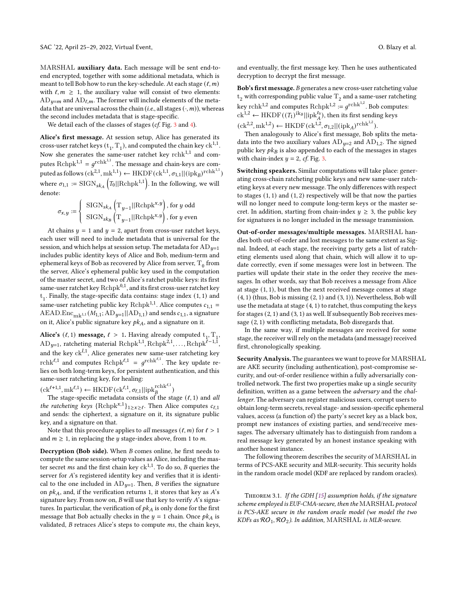MARSHAL **auxiliary data.** Each message will be sent end-toend encrypted, together with some additional metadata, which is meant to tell Bob how to run the key-schedule. At each stage  $(\ell, m)$ with  $\ell, m \geq 1$ , the auxiliary value will consist of two elements:  $AD_{u=m}$  and  $AD_{\ell,m}$ . The former will include elements of the metadata that are universal across the chain (*i.e.*, all stages  $(\cdot, m)$ ), whereas the second includes metadata that is stage-specific.

We detail each of the classes of stages (*cf.* Fig. 3 and 4).

**Alice's first message.** At session setup, Alice has generated its cross-user ratchet keys  $(t_1, T_1)$ , and computed the chain key  $ck^{1,1}$ . Now she generates the same-user ratchet key rchk<sup>1,1</sup> and computes  $\text{Rchpk}^{1,1} = g^{\text{rchk}^{1,1}}.$  The message and chain-keys are com- $\text{puted as follows}(\text{ck}^{2,1}, \text{mk}^{1,1}) \leftarrow \text{HKDF}(\text{ck}^{1,1}, \sigma_{1,1} || (\text{ipk}_B)^{\text{rchk}^{1,1}})$ where  $\sigma_{1,1} := \text{SIGN}_{s k_A} \left( T_0 || \text{Rchpk}^{1,1} \right)$ . In the following, we will denote:

$$
\sigma_{x,y} := \begin{cases} \begin{array}{c} \text{SIGN}_{ska} \left( \mathrm{T}_{y-1} || \text{Rchpk}^{x,y} \right), \text{for } y \text{ odd} \\ \text{SIGN}_{ska} \left( \mathrm{T}_{y-1} || \text{Rchpk}^{x,y} \right), \text{for } y \text{ even} \end{array} \end{cases}
$$

At chains  $y = 1$  and  $y = 2$ , apart from cross-user ratchet keys, each user will need to include metadata that is universal for the session, and which helps at session setup. The metadata for  $AD_{u=1}$ includes public identity keys of Alice and Bob, medium-term and ephemeral keys of Bob as recovered by Alice from server,  $\mathrm{T}_0$  from the server, Alice's ephemeral public key used in the computation of the master secret, and two of Alice's ratchet public keys: its first same-user ratchet key Rchpk<sup>0,1</sup>, and its first cross-user ratchet key t 1 . Finally, the stage-specific data contains: stage index (1*,* 1) and same-user ratcheting public key Rchp $k^{1,1}$ . Alice computes  $c_{1,1}$  = AEAD.Enc<sub>mk<sup>1,1</sup></sub>( $M_{1,1}$ ; AD<sub>y=1</sub>||AD<sub>1,1</sub>) and sends  $c_{1,1}$ , a signature on it, Alice's public signature key  $pk<sub>A</sub>$ , and a signature on it.

**Alice's** ( $\ell$ , 1) **message**,  $\ell > 1$ . Having already computed  $t_1, T_1$ ,  $AD_{y=1}$ , ratcheting material  $Rchpk^{1,1}$ ,  $Rchpk^{2,1}$ ,  $\dots$ ,  $Rchpk^{\ell-1,1}$ , and the key ck<sup>*l,*1</sup>, Alice generates new same-user ratcheting key rchk<sup> $\ell$ ,1</sup> and computes  $\text{Rchpk}^{\ell,1} = g^{\text{rchk}^{\ell,1}}$ . The key update relies on both long-term keys, for persistent authentication, and this same-user ratcheting key, for healing:

 $(\text{ck}^{\ell+1,1}, \text{mk}^{\ell,1}) \leftarrow \text{HKDF}(\text{ck}^{\ell,1}, \sigma_{\ell,1} || \text{ipk}_{B}^{\text{rchk}^{\ell,1}})$ 

The stage-specific metadata consists of the stage (*ℓ,* 1) and *all the ratcheting keys*  ${Rchpk^{x,1}}_{1 \ge x \ge \ell}$ . Then Alice computes  $c_{\ell,1}$ and sends: the ciphertext, a signature on it, its signature public key, and a signature on that.

Note that this procedure applies to *all* messages  $(\ell, m)$  for  $\ell > 1$ and  $m \geq 1$ , in replacing the *y* stage-index above, from 1 to *m*.

**Decryption (Bob side).** When *B* comes online, he first needs to compute the same session-setup values as Alice, including the master secret *ms* and the first chain key  $ck^{1,1}$ . To do so, *B* queries the server for *A*'s registered identity key and verifies that it is identical to the one included in  $AD_{u=1}$ . Then, *B* verifies the signature on  $pk<sub>A</sub>$ , and, if the verification returns 1, it stores that key as  $A$ 's signature key. From now on, *B* will use that key to verify *A*'s signatures. In particular, the verification of  $pk<sub>A</sub>$  is only done for the first message that Bob actually checks in the  $y = 1$  chain. Once  $pk<sub>A</sub>$  is validated, *B* retraces Alice's steps to compute *ms*, the chain keys,

and eventually, the first message key. Then he uses authenticated decryption to decrypt the first message.

**Bob's first message.** *B* generates a new cross-user ratcheting value  ${\rm t}_2$  with corresponding public value  ${\rm T}_2$  and a same-user ratcheting key r $\mathrm{chk}^{1,2}$  and computes  $\mathrm{Rchpk}^{1,2} := g^{\mathrm{rchk}^{1,2}}$ . Bob computes:  $ck^{1,2} \leftarrow \text{HKDF}((T_1)^{ik_B}||ipk_A^{t_0}),$  then its first sending keys  $(\text{ck}^{2,2}, \text{mk}^{1,2}) \leftarrow \text{HKDF}(\text{ck}^{1,2}, \sigma_{1,2} || (\text{ipk}_A)^{\text{rchk}^{1,2}}).$ 

Then analogously to Alice's first message, Bob splits the metadata into the two auxiliary values  $AD_{\mu=2}$  and  $AD_{1,2}$ . The signed public key  $pk_B$  is also appended to each of the messages in stages with chain-index  $y = 2$ , *cf.* Fig. 3.

**Switching speakers.** Similar computations will take place: generating cross-chain ratcheting public keys and new same-user ratcheting keys at every new message. The only differences with respect to stages (1*,* 1) and (1*,* 2) respectively will be that now the parties will no longer need to compute long-term keys or the master secret. In addition, starting from chain-index  $y \geq 3$ , the public key for signatures is no longer included in the message transmission.

**Out-of-order messages/multiple messages.** MARSHAL handles both out-of-order and lost messages to the same extent as Signal. Indeed, at each stage, the receiving party gets a list of ratcheting elements used along that chain, which will allow it to update correctly, even if some messages were lost in between. The parties will update their state in the order they receive the messages. In other words, say that Bob receives a message from Alice at stage (1*,* 1), but then the next received message comes at stage (4*,* 1) (thus, Bob is missing (2*,* 1) and (3*,* 1)). Nevertheless, Bob will use the metadata at stage (4*,* 1) to ratchet, thus computing the keys for stages (2*,* 1) and (3*,* 1) as well. If subsequently Bob receives message (2*,* 1) with conflicting metadata, Bob disregards that.

In the same way, if multiple messages are received for some stage, the receiver will rely on the metadata (and message) received first, chronologically speaking.

**Security Analysis.** The guarantees we want to prove for MARSHAL are AKE security (including authentication), post-compromise security, and out-of-order resilience within a fully adversarially controlled network. The first two properties make up a single security definition, written as a game between the *adversary* and the *challenger*. The adversary can register malicious users, corrupt users to obtain long-term secrets, reveal stage- and session-specific ephemeral values, access (a function of) the party's secret key as a black box, prompt new instances of existing parties, and send/receive messages. The adversary ultimately has to distinguish from random a real message key generated by an honest instance speaking with another honest instance.

The following theorem describes the security of MARSHAL in terms of PCS-AKE security and MLR-security. This security holds in the random oracle model (KDF are replaced by random oracles).

Theorem 3.1. *If the GDH [15] assumption holds, if the signature scheme employed is EUF-CMA-secure, then the* MARSHAL *protocol is PCS-AKE secure in the random oracle model (we model the two KDFs as* RO1*,* RO2*). In addition,* MARSHAL *is MLR-secure.*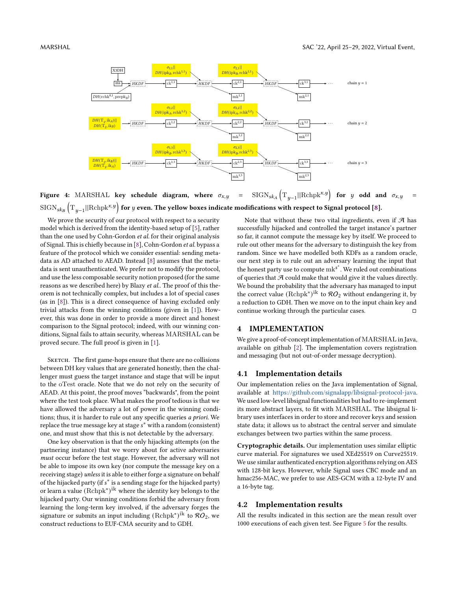

**Figure 4:** MARSHAL **key schedule diagram, where**  $\sigma_{x,y}$  =  $(T_{y-1}||Rchpk^{x,y})$  for y odd and  $\sigma_{x,y}$  =  $\text{SIGN}_{sk_B}\left(\text{T}_{y-1}||\text{Rchpk}^{x,y}\right)$  for  $y$  even. The yellow boxes indicate modifications with respect to Signal protocol [8].

We prove the security of our protocol with respect to a security model which is derived from the identity-based setup of [5], rather than the one used by Cohn-Gordon *et al.* for their original analysis of Signal. This is chiefly because in [8], Cohn-Gordon *et al.* bypass a feature of the protocol which we consider essential: sending metadata as AD attached to AEAD. Instead [8] assumes that the metadata is sent unauthenticated. We prefer not to modify the protocol, and use the less composable security notion proposed (for the same reasons as we described here) by Blazy *et al.*. The proof of this theorem is not technically complex, but includes a lot of special cases (as in [8]). This is a direct consequence of having excluded only trivial attacks from the winning conditions (given in [1]). However, this was done in order to provide a more direct and honest comparison to the Signal protocol; indeed, with our winning conditions, Signal fails to attain security, whereas MARSHAL can be proved secure. The full proof is given in [1].

SKETCH. The first game-hops ensure that there are no collisions between DH key values that are generated honestly, then the challenger must guess the target instance and stage that will be input to the oTest oracle. Note that we do not rely on the security of AEAD. At this point, the proof moves "backwards", from the point where the test took place. What makes the proof tedious is that we have allowed the adversary a lot of power in the winning conditions; thus, it is harder to rule out any specific queries *a priori*. We replace the true message key at stage  $s^*$  with a random (consistent) one, and must show that this is not detectable by the adversary.

One key observation is that the only hijacking attempts (on the partnering instance) that we worry about for active adversaries *must* occur before the test stage. However, the adversary will not be able to impose its own key (nor compute the message key on a receiving stage) *unless* it is able to either forge a signature on behalf of the hijacked party (if s<sup>\*</sup> is a sending stage for the hijacked party) or learn a value (Rchpk<sup>∗</sup> ) ik where the identity key belongs to the hijacked party. Our winning conditions forbid the adversary from learning the long-term key involved, if the adversary forges the signature or submits an input including  $(\mathrm{Rchpk}^\ast)^\mathrm{ik}$  to  $\mathcal{RO}_2$ , we construct reductions to EUF-CMA security and to GDH.

Note that without these two vital ingredients, even if  $A$  has successfully hijacked and controlled the target instance's partner so far, it cannot compute the message key by itself. We proceed to rule out other means for the adversary to distinguish the key from random. Since we have modelled both KDFs as a random oracle, our next step is to rule out an adversary learning the input that the honest party use to compute  $mk^{s^*}$ . We ruled out combinations of queries that  $A$  could make that would give it the values directly. We bound the probability that the adversary has managed to input the correct value  $(\mathrm{Rchpk}^\ast)^\mathrm{ik}$  to  $\mathcal{RO}_2$  without endangering it, by a reduction to GDH. Then we move on to the input chain key and continue working through the particular cases.  $□$ 

#### **4 IMPLEMENTATION**

We give a proof-of-concept implementation of MARSHAL in Java, available on github [2]. The implementation covers registration and messaging (but not out-of-order message decryption).

#### **4.1 Implementation details**

Our implementation relies on the Java implementation of Signal, available at [https://github.com/signalapp/libsignal-protocol-java.](https://github.com/signalapp/libsignal-protocol-java) We used low-level libsignal functionalities but had to re-implement its more abstract layers, to fit with MARSHAL. The libsignal library uses interfaces in order to store and recover keys and session state data; it allows us to abstract the central server and simulate exchanges between two parties within the same process.

**Cryptographic details.** Our implementation uses similar elliptic curve material. For signatures we used XEd25519 on Curve25519. We use similar authenticated encryption algorithms relying on AES with 128-bit keys. However, while Signal uses CBC mode and an hmac256-MAC, we prefer to use AES-GCM with a 12-byte IV and a 16-byte tag.

#### **4.2 Implementation results**

All the results indicated in this section are the mean result over 1000 executions of each given test. See Figure 5 for the results.